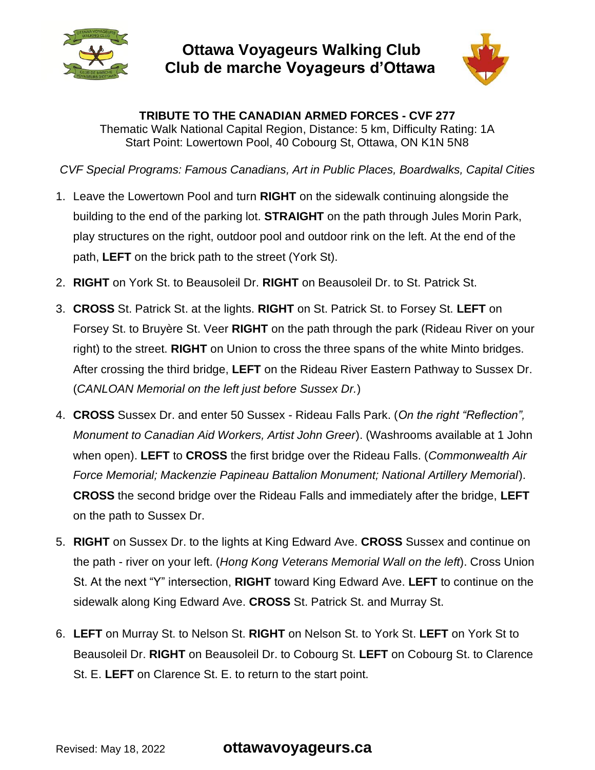

## **Ottawa Voyageurs Walking Club Club de marche Voyageurs d'Ottawa**



**TRIBUTE TO THE CANADIAN ARMED FORCES - CVF 277** Thematic Walk National Capital Region, Distance: 5 km, Difficulty Rating: 1A Start Point: Lowertown Pool, 40 Cobourg St, Ottawa, ON K1N 5N8

*CVF Special Programs: Famous Canadians, Art in Public Places, Boardwalks, Capital Cities*

- 1. Leave the Lowertown Pool and turn **RIGHT** on the sidewalk continuing alongside the building to the end of the parking lot. **STRAIGHT** on the path through Jules Morin Park, play structures on the right, outdoor pool and outdoor rink on the left. At the end of the path, **LEFT** on the brick path to the street (York St).
- 2. **RIGHT** on York St. to Beausoleil Dr. **RIGHT** on Beausoleil Dr. to St. Patrick St.
- 3. **CROSS** St. Patrick St. at the lights. **RIGHT** on St. Patrick St. to Forsey St. **LEFT** on Forsey St. to Bruyère St. Veer **RIGHT** on the path through the park (Rideau River on your right) to the street. **RIGHT** on Union to cross the three spans of the white Minto bridges. After crossing the third bridge, **LEFT** on the Rideau River Eastern Pathway to Sussex Dr. (*CANLOAN Memorial on the left just before Sussex Dr.*)
- 4. **CROSS** Sussex Dr. and enter 50 Sussex Rideau Falls Park. (*On the right "Reflection", Monument to Canadian Aid Workers, Artist John Greer*). (Washrooms available at 1 John when open). **LEFT** to **CROSS** the first bridge over the Rideau Falls. (*Commonwealth Air Force Memorial; Mackenzie Papineau Battalion Monument; National Artillery Memorial*). **CROSS** the second bridge over the Rideau Falls and immediately after the bridge, **LEFT** on the path to Sussex Dr.
- 5. **RIGHT** on Sussex Dr. to the lights at King Edward Ave. **CROSS** Sussex and continue on the path - river on your left. (*Hong Kong Veterans Memorial Wall on the left*). Cross Union St. At the next "Y" intersection, **RIGHT** toward King Edward Ave. **LEFT** to continue on the sidewalk along King Edward Ave. **CROSS** St. Patrick St. and Murray St.
- 6. **LEFT** on Murray St. to Nelson St. **RIGHT** on Nelson St. to York St. **LEFT** on York St to Beausoleil Dr. **RIGHT** on Beausoleil Dr. to Cobourg St. **LEFT** on Cobourg St. to Clarence St. E. **LEFT** on Clarence St. E. to return to the start point.